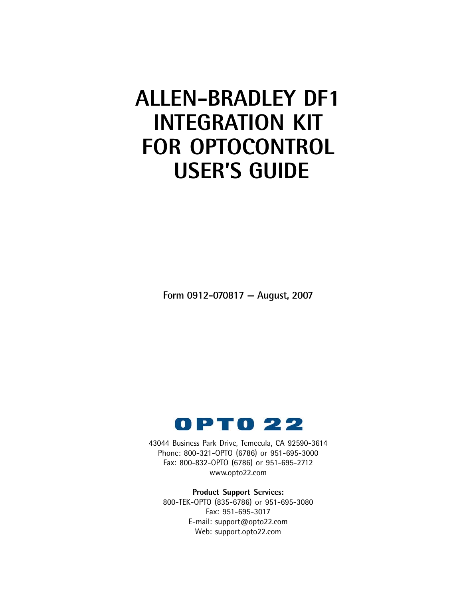# **ALLEN-BRADLEY DF1 INTEGRATION KIT FOR OPTOCONTROL USER'S GUIDE**

**Form 0912-070817 — August, 2007**



43044 Business Park Drive, Temecula, CA 92590-3614 Phone: 800-321-OPTO (6786) or 951-695-3000 Fax: 800-832-OPTO (6786) or 951-695-2712 www.opto22.com

**Product Support Services:** 800-TEK-OPTO (835-6786) or 951-695-3080 Fax: 951-695-3017 E-mail: support@opto22.com Web: support.opto22.com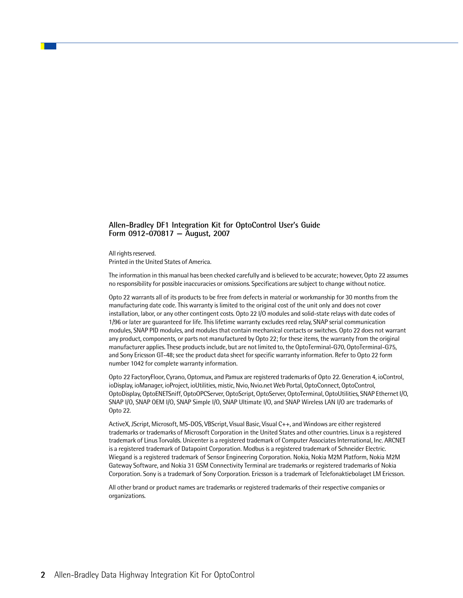#### **Allen-Bradley DF1 Integration Kit for OptoControl User's Guide Form 0912-070817 — August, 2007**

All rights reserved. Printed in the United States of America.

The information in this manual has been checked carefully and is believed to be accurate; however, Opto 22 assumes no responsibility for possible inaccuracies or omissions. Specifications are subject to change without notice.

Opto 22 warrants all of its products to be free from defects in material or workmanship for 30 months from the manufacturing date code. This warranty is limited to the original cost of the unit only and does not cover installation, labor, or any other contingent costs. Opto 22 I/O modules and solid-state relays with date codes of 1/96 or later are guaranteed for life. This lifetime warranty excludes reed relay, SNAP serial communication modules, SNAP PID modules, and modules that contain mechanical contacts or switches. Opto 22 does not warrant any product, components, or parts not manufactured by Opto 22; for these items, the warranty from the original manufacturer applies. These products include, but are not limited to, the OptoTerminal-G70, OptoTerminal-G75, and Sony Ericsson GT-48; see the product data sheet for specific warranty information. Refer to Opto 22 form number 1042 for complete warranty information.

Opto 22 FactoryFloor, Cyrano, Optomux, and Pamux are registered trademarks of Opto 22. Generation 4, ioControl, ioDisplay, ioManager, ioProject, ioUtilities, mistic, Nvio, Nvio.net Web Portal, OptoConnect, OptoControl, OptoDisplay, OptoENETSniff, OptoOPCServer, OptoScript, OptoServer, OptoTerminal, OptoUtilities, SNAP Ethernet I/O, SNAP I/O, SNAP OEM I/O, SNAP Simple I/O, SNAP Ultimate I/O, and SNAP Wireless LAN I/O are trademarks of Opto 22.

ActiveX, JScript, Microsoft, MS-DOS, VBScript, Visual Basic, Visual C++, and Windows are either registered trademarks or trademarks of Microsoft Corporation in the United States and other countries. Linux is a registered trademark of Linus Torvalds. Unicenter is a registered trademark of Computer Associates International, Inc. ARCNET is a registered trademark of Datapoint Corporation. Modbus is a registered trademark of Schneider Electric. Wiegand is a registered trademark of Sensor Engineering Corporation. Nokia, Nokia M2M Platform, Nokia M2M Gateway Software, and Nokia 31 GSM Connectivity Terminal are trademarks or registered trademarks of Nokia Corporation. Sony is a trademark of Sony Corporation. Ericsson is a trademark of Telefonaktiebolaget LM Ericsson.

All other brand or product names are trademarks or registered trademarks of their respective companies or organizations.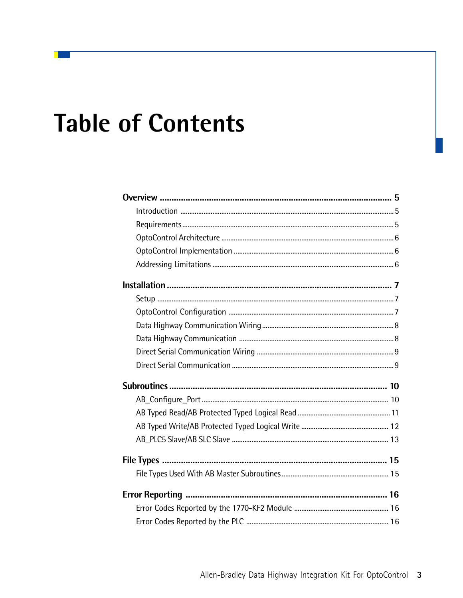# **Table of Contents**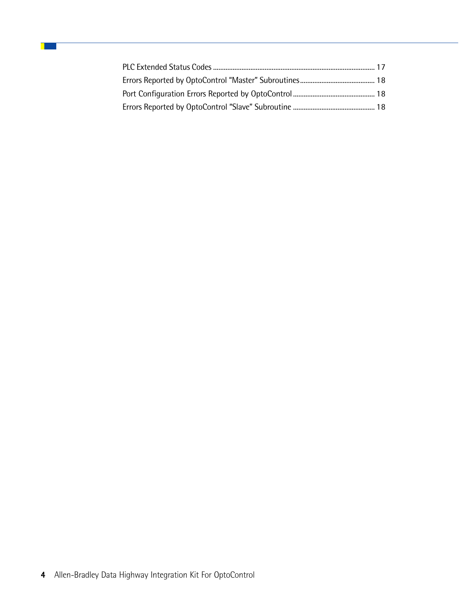П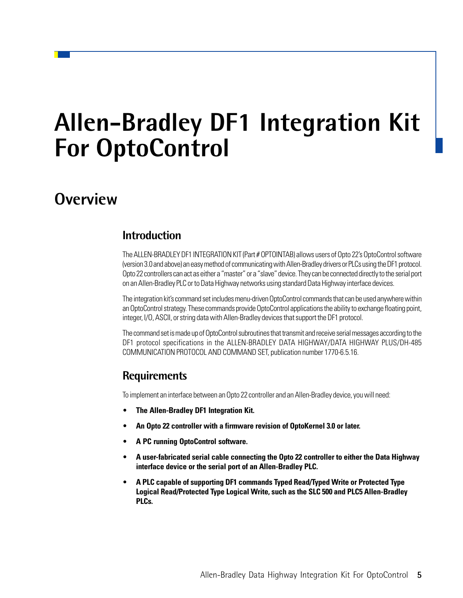# **Allen-Bradley DF1 Integration Kit For OptoControl**

## **Overview**

## **Introduction**

The ALLEN-BRADLEY DF1 INTEGRATION KIT (Part # OPTOINTAB) allows users of Opto 22's OptoControl software (version 3.0 and above) an easy method of communicating with Allen-Bradley drivers or PLCs using the DF1 protocol. Opto 22 controllers can act as either a "master" or a "slave" device. They can be connected directly to the serial port on an Allen-Bradley PLC or to Data Highway networks using standard Data Highway interface devices.

The integration kit's command set includes menu-driven OptoControl commands that can be used anywhere within an OptoControl strategy. These commands provide OptoControl applications the ability to exchange floating point, integer, I/O, ASCII, or string data with Allen-Bradley devices that support the DF1 protocol.

The command set is made up of OptoControl subroutines that transmit and receive serial messages according to the DF1 protocol specifications in the ALLEN-BRADLEY DATA HIGHWAY/DATA HIGHWAY PLUS/DH-485 COMMUNICATION PROTOCOL AND COMMAND SET, publication number 1770-6.5.16.

## **Requirements**

To implement an interface between an Opto 22 controller and an Allen-Bradley device, you will need:

- **The Allen-Bradley DF1 Integration Kit.**
- **An Opto 22 controller with a firmware revision of OptoKernel 3.0 or later.**
- **A PC running OptoControl software.**
- **A user-fabricated serial cable connecting the Opto 22 controller to either the Data Highway interface device or the serial port of an Allen-Bradley PLC.**
- **A PLC capable of supporting DF1 commands Typed Read/Typed Write or Protected Type Logical Read/Protected Type Logical Write, such as the SLC 500 and PLC5 Allen-Bradley PLCs.**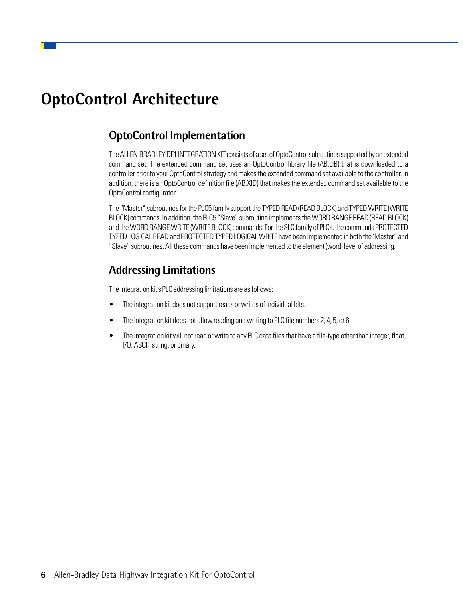## **OptoControl Architecture**

### **OptoControl Implementation**

The ALLEN-BRADLEY DF1 INTEGRATION KIT consists of a set of OptoControl subroutines supported by an extended command set. The extended command set uses an OptoControl library file (AB.LIB) that is downloaded to a controller prior to your OptoControl strategy and makes the extended command set available to the controller. In addition, there is an OptoControl definition file (AB.XID) that makes the extended command set available to the OptoControl configurator.

The "Master" subroutines for the PLC5 family support the TYPED READ (READ BLOCK) and TYPED WRITE (WRITE BLOCK) commands. In addition, the PLC5 "Slave" subroutine implements the WORD RANGE READ (READ BLOCK) and the WORD RANGE WRITE (WRITE BLOCK) commands. For the SLC family of PLCs, the commands PROTECTED TYPED LOGICAL READ and PROTECTED TYPED LOGICAL WRITE have been implemented in both the 'Master" and "Slave" subroutines. All these commands have been implemented to the element (word) level of addressing.

## **Addressing Limitations**

The integration kit's PLC addressing limitations are as follows:

- The integration kit does not support reads or writes of individual bits.
- The integration kit does not allow reading and writing to PLC file numbers 2, 4, 5, or 6.
- The integration kit will not read or write to any PLC data files that have a file-type other than integer, float, I/O, ASCII, string, or binary.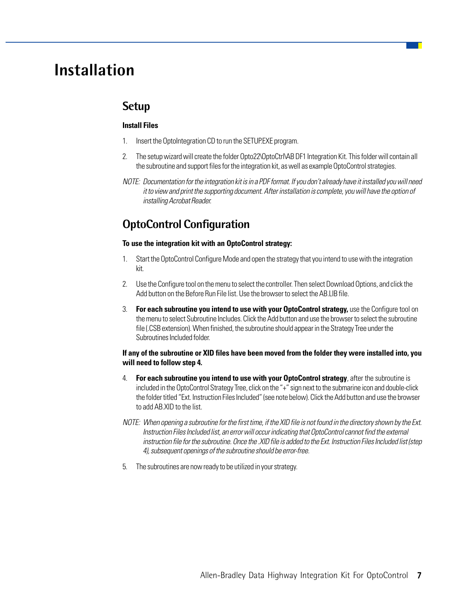## **Installation**

### **Setup**

#### **Install Files**

- 1. Insert the OptoIntegration CD to run the SETUP.EXE program.
- 2. The setup wizard will create the folder Opto22\OptoCtrl\AB DF1 Integration Kit. This folder will contain all the subroutine and support files for the integration kit, as well as example OptoControl strategies.
- NOTE: Documentation for the integration kit is in a PDF format. If you don't already have it installed you will need it to view and print the supporting document. After installation is complete, you will have the option of installing Acrobat Reader.

## **OptoControl Configuration**

#### **To use the integration kit with an OptoControl strategy:**

- 1. Start the OptoControl Configure Mode and open the strategy that you intend to use with the integration kit.
- 2. Use the Configure tool on the menu to select the controller. Then select Download Options, and click the Add button on the Before Run File list. Use the browser to select the AB.LIB file.
- 3. **For each subroutine you intend to use with your OptoControl strategy,** use the Configure tool on the menu to select Subroutine Includes. Click the Add button and use the browser to select the subroutine file (.CSB extension). When finished, the subroutine should appear in the Strategy Tree under the Subroutines Included folder.

#### **If any of the subroutine or XID files have been moved from the folder they were installed into, you will need to follow step 4.**

- 4. **For each subroutine you intend to use with your OptoControl strategy**, after the subroutine is included in the OptoControl Strategy Tree, click on the "+" sign next to the submarine icon and double-click the folder titled "Ext. Instruction Files Included" (see note below). Click the Add button and use the browser to add AB.XID to the list.
- NOTE: When opening a subroutine for the first time, if the XID file is not found in the directory shown by the Ext. Instruction Files Included list, an error will occur indicating that OptoControl cannot find the external instruction file for the subroutine. Once the .XID file is added to the Ext. Instruction Files Included list (step 4), subsequent openings of the subroutine should be error-free.
- 5. The subroutines are now ready to be utilized in your strategy.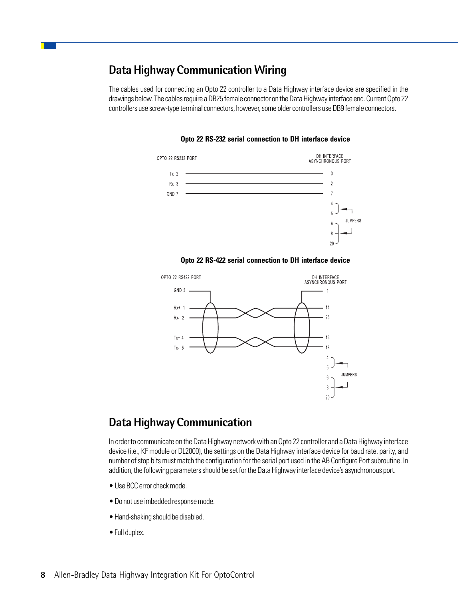### **Data Highway Communication Wiring**

The cables used for connecting an Opto 22 controller to a Data Highway interface device are specified in the drawings below. The cables require a DB25 female connector on the Data Highway interface end. Current Opto 22 controllers use screw-type terminal connectors, however, some older controllers use DB9 female connectors.

**Opto 22 RS-232 serial connection to DH interface device**



**Opto 22 RS-422 serial connection to DH interface device**



### **Data Highway Communication**

In order to communicate on the Data Highway network with an Opto 22 controller and a Data Highway interface device (i.e., KF module or DL2000), the settings on the Data Highway interface device for baud rate, parity, and number of stop bits must match the configuration for the serial port used in the AB Configure Port subroutine. In addition, the following parameters should be set for the Data Highway interface device's asynchronous port.

- Use BCC error check mode.
- Do not use imbedded response mode.
- Hand-shaking should be disabled.
- Full duplex.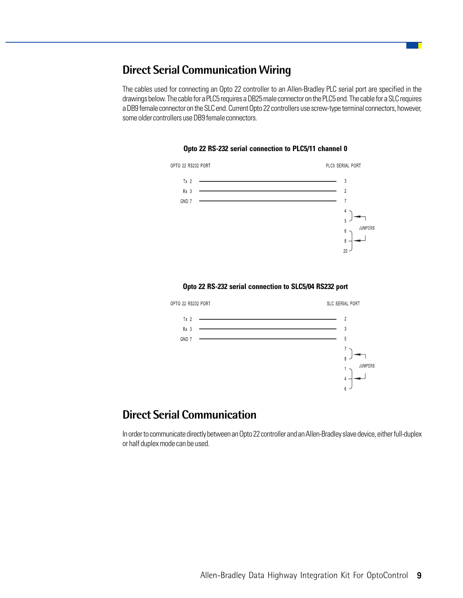### **Direct Serial Communication Wiring**

The cables used for connecting an Opto 22 controller to an Allen-Bradley PLC serial port are specified in the drawings below. The cable for a PLC5 requires a DB25 male connector on the PLC5 end. The cable for a SLC requires a DB9 female connector on the SLC end. Current Opto 22 controllers use screw-type terminal connectors, however, some older controllers use DB9 female connectors.



#### **Opto 22 RS-232 serial connection to PLC5/11 channel 0**

#### **Opto 22 RS-232 serial connection to SLC5/04 RS232 port**



### **Direct Serial Communication**

In order to communicate directly between an Opto 22 controller and an Allen-Bradley slave device, either full-duplex or half duplex mode can be used.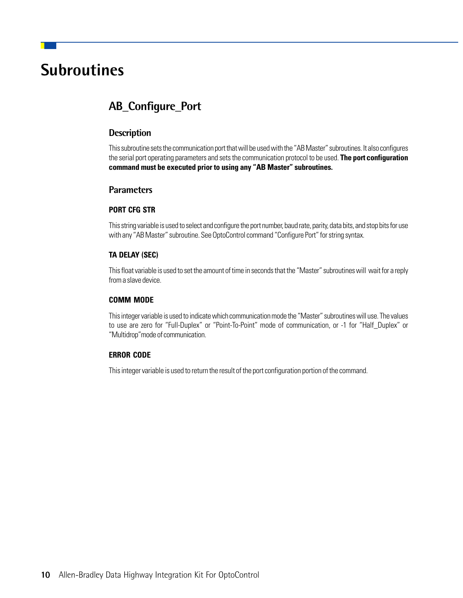## **Subroutines**

## **AB\_Configure\_Port**

#### **Description**

This subroutine sets the communication port that will be used with the "AB Master" subroutines. It also configures the serial port operating parameters and sets the communication protocol to be used. **The port configuration command must be executed prior to using any "AB Master" subroutines.**

#### **Parameters**

#### **PORT CFG STR**

This string variable is used to select and configure the port number, baud rate, parity, data bits, and stop bits for use with any "AB Master" subroutine. See OptoControl command "Configure Port" for string syntax.

#### **TA DELAY (SEC)**

This float variable is used to set the amount of time in seconds that the "Master" subroutines will wait for a reply from a slave device.

#### **COMM MODE**

This integer variable is used to indicate which communication mode the "Master" subroutines will use. The values to use are zero for "Full-Duplex" or "Point-To-Point" mode of communication, or -1 for "Half\_Duplex" or "Multidrop"mode of communication.

#### **ERROR CODE**

This integer variable is used to return the result of the port configuration portion of the command.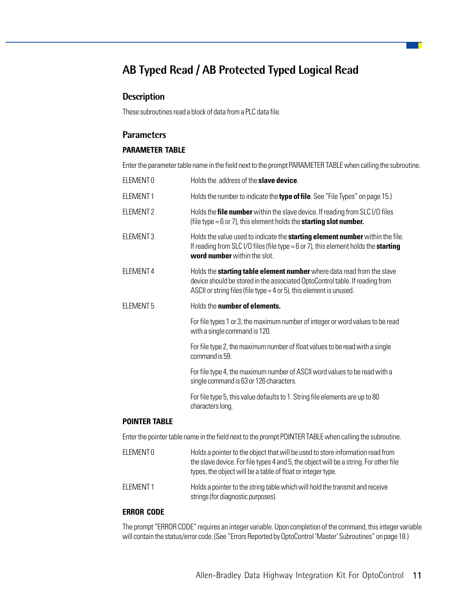## **AB Typed Read / AB Protected Typed Logical Read**

#### **Description**

These subroutines read a block of data from a PLC data file.

#### **Parameters**

#### **PARAMETER TABLE**

Enter the parameter table name in the field next to the prompt PARAMETER TABLE when calling the subroutine.

| ELEMENT 0            | Holds the address of the <b>slave device</b> .                                                                                                                                                                                            |
|----------------------|-------------------------------------------------------------------------------------------------------------------------------------------------------------------------------------------------------------------------------------------|
| ELEMENT1             | Holds the number to indicate the type of file. See "File Types" on page 15.)                                                                                                                                                              |
| ELEMENT 2            | Holds the file number within the slave device. If reading from SLC I/O files<br>(file type $= 6$ or 7), this element holds the starting slot number.                                                                                      |
| ELEMENT <sub>3</sub> | Holds the value used to indicate the starting element number within the file.<br>If reading from SLC I/O files (file type = 6 or 7), this element holds the starting<br>word number within the slot.                                      |
| ELEMENT 4            | Holds the <b>starting table element number</b> where data read from the slave<br>device should be stored in the associated OptoControl table. If reading from<br>ASCII or string files (file type = $4$ or $5$ ), this element is unused. |
| ELEMENT 5            | Holds the number of elements.                                                                                                                                                                                                             |
|                      | For file types 1 or 3, the maximum number of integer or word values to be read<br>with a single command is 120.                                                                                                                           |
|                      | For file type 2, the maximum number of float values to be read with a single<br>command is 59.                                                                                                                                            |
|                      | For file type 4, the maximum number of ASCII word values to be read with a<br>single command is 63 or 126 characters.                                                                                                                     |
|                      | For file type 5, this value defaults to 1. String file elements are up to 80<br>characters long.                                                                                                                                          |
| <b>POINTER TABLE</b> |                                                                                                                                                                                                                                           |
|                      | Enter the pointer table name in the field next to the prompt POINTER TABLE when calling the subroutine.                                                                                                                                   |
| ELEMENT 0            | Holds a pointer to the object that will be used to store information read from<br>the slave device. For file types 4 and 5, the object will be a string. For other file                                                                   |

ELEMENT 1 Holds a pointer to the string table which will hold the transmit and receive strings (for diagnostic purposes).

types, the object will be a table of float or integer type.

#### **ERROR CODE**

The prompt "ERROR CODE" requires an integer variable. Upon completion of the command, this integer variable will contain the status/error code. (See "Errors Reported by OptoControl 'Master' Subroutines" on page 18.)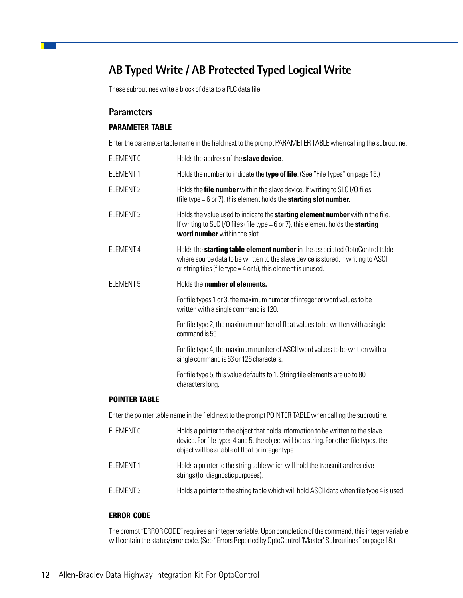## **AB Typed Write / AB Protected Typed Logical Write**

These subroutines write a block of data to a PLC data file.

#### **Parameters**

#### **PARAMETER TABLE**

Enter the parameter table name in the field next to the prompt PARAMETER TABLE when calling the subroutine.

| ELEMENT 0        | Holds the address of the <b>slave device</b> .                                                                                                                                                                                          |
|------------------|-----------------------------------------------------------------------------------------------------------------------------------------------------------------------------------------------------------------------------------------|
| ELEMENT1         | Holds the number to indicate the <b>type of file</b> . (See "File Types" on page 15.)                                                                                                                                                   |
| ELEMENT 2        | Holds the file number within the slave device. If writing to SLC I/O files<br>(file type = $6$ or $7$ ), this element holds the <b>starting slot number.</b>                                                                            |
| ELEMENT 3        | Holds the value used to indicate the <b>starting element number</b> within the file.<br>If writing to SLC I/O files (file type = 6 or 7), this element holds the <b>starting</b><br><b>word number</b> within the slot.                 |
| ELEMENT 4        | Holds the starting table element number in the associated OptoControl table<br>where source data to be written to the slave device is stored. If writing to ASCII<br>or string files (file type = $4$ or $5$ ), this element is unused. |
| <b>ELEMENT 5</b> | Holds the number of elements.                                                                                                                                                                                                           |
|                  | For file types 1 or 3, the maximum number of integer or word values to be<br>written with a single command is 120.                                                                                                                      |
|                  | For file type 2, the maximum number of float values to be written with a single<br>command is 59.                                                                                                                                       |
|                  | For file type 4, the maximum number of ASCII word values to be written with a<br>single command is 63 or 126 characters.                                                                                                                |
|                  | For file type 5, this value defaults to 1. String file elements are up to 80<br>characters long.                                                                                                                                        |
| POINTER TABLE    |                                                                                                                                                                                                                                         |

Enter the pointer table name in the field next to the prompt POINTER TABLE when calling the subroutine.

| ELEMENT <sub>0</sub> | Holds a pointer to the object that holds information to be written to the slave<br>device. For file types 4 and 5, the object will be a string. For other file types, the<br>object will be a table of float or integer type. |
|----------------------|-------------------------------------------------------------------------------------------------------------------------------------------------------------------------------------------------------------------------------|
| FI FMFNT1            | Holds a pointer to the string table which will hold the transmit and receive<br>strings (for diagnostic purposes).                                                                                                            |
| ELEMENT3             | Holds a pointer to the string table which will hold ASCII data when file type 4 is used.                                                                                                                                      |

#### **ERROR CODE**

The prompt "ERROR CODE" requires an integer variable. Upon completion of the command, this integer variable will contain the status/error code. (See "Errors Reported by OptoControl 'Master' Subroutines" on page 18.)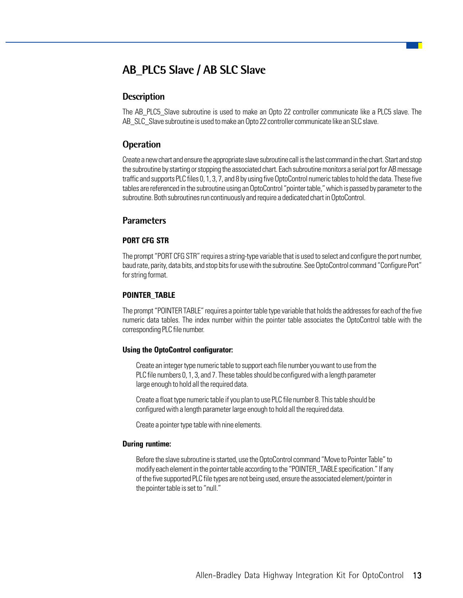## **AB\_PLC5 Slave / AB SLC Slave**

#### **Description**

The AB\_PLC5\_Slave subroutine is used to make an Opto 22 controller communicate like a PLC5 slave. The AB SLC Slave subroutine is used to make an Opto 22 controller communicate like an SLC slave.

#### **Operation**

Create a new chart and ensure the appropriate slave subroutine call is the last command in the chart. Start and stop the subroutine by starting or stopping the associated chart. Each subroutine monitors a serial port for AB message traffic and supports PLC files 0, 1, 3, 7, and 8 by using five OptoControl numeric tables to hold the data. These five tables are referenced in the subroutine using an OptoControl "pointer table," which is passed by parameter to the subroutine. Both subroutines run continuously and require a dedicated chart in OptoControl.

#### **Parameters**

#### **PORT CFG STR**

The prompt "PORT CFG STR" requires a string-type variable that is used to select and configure the port number, baud rate, parity, data bits, and stop bits for use with the subroutine. See OptoControl command "Configure Port" for string format.

#### **POINTER\_TABLE**

The prompt "POINTER TABLE" requires a pointer table type variable that holds the addresses for each of the five numeric data tables. The index number within the pointer table associates the OptoControl table with the corresponding PLC file number.

#### **Using the OptoControl configurator:**

Create an integer type numeric table to support each file number you want to use from the PLC file numbers 0, 1, 3, and 7. These tables should be configured with a length parameter large enough to hold all the required data.

Create a float type numeric table if you plan to use PLC file number 8. This table should be configured with a length parameter large enough to hold all the required data.

Create a pointer type table with nine elements.

#### **During runtime:**

Before the slave subroutine is started, use the OptoControl command "Move to Pointer Table" to modify each element in the pointer table according to the "POINTER\_TABLE specification." If any of the five supported PLC file types are not being used, ensure the associated element/pointer in the pointer table is set to "null."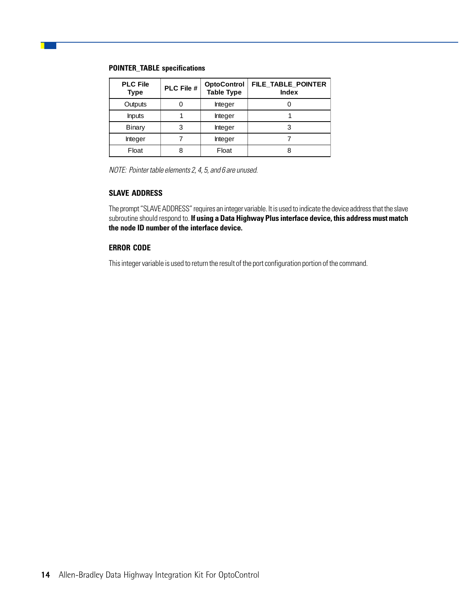#### **POINTER\_TABLE specifications**

| <b>PLC File</b><br><b>Type</b> | <b>PLC File #</b> | <b>OptoControl</b><br><b>Table Type</b> | FILE TABLE POINTER<br><b>Index</b> |
|--------------------------------|-------------------|-----------------------------------------|------------------------------------|
| Outputs                        |                   | Integer                                 |                                    |
| <b>Inputs</b>                  |                   | Integer                                 |                                    |
| Binary                         |                   | Integer                                 |                                    |
| Integer                        |                   | Integer                                 |                                    |
| Float                          |                   | Float                                   |                                    |

NOTE: Pointer table elements 2, 4, 5, and 6 are unused.

#### **SLAVE ADDRESS**

The prompt "SLAVE ADDRESS" requires an integer variable. It is used to indicate the device address that the slave subroutine should respond to. **If using a Data Highway Plus interface device, this address must match the node ID number of the interface device.**

#### **ERROR CODE**

This integer variable is used to return the result of the port configuration portion of the command.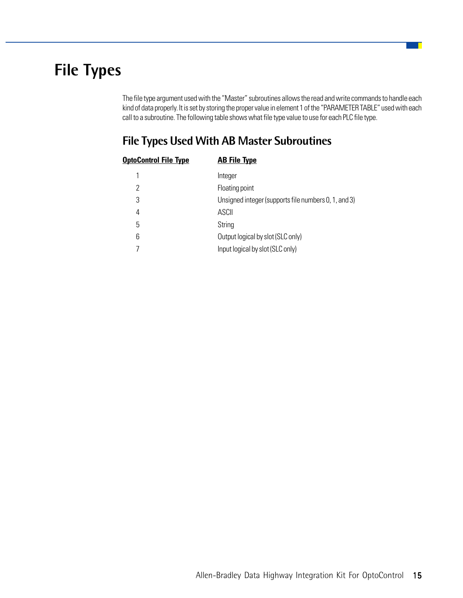## **File Types**

The file type argument used with the "Master" subroutines allows the read and write commands to handle each kind of data properly. It is set by storing the proper value in element 1 of the "PARAMETER TABLE" used with each call to a subroutine. The following table shows what file type value to use for each PLC file type.

## **File Types Used With AB Master Subroutines**

| <b>OptoControl File Type</b> | <b>AB File Type</b>                                  |
|------------------------------|------------------------------------------------------|
| 1                            | Integer                                              |
| 2                            | Floating point                                       |
| 3                            | Unsigned integer (supports file numbers 0, 1, and 3) |
| 4                            | <b>ASCII</b>                                         |
| 5                            | String                                               |
| 6                            | Output logical by slot (SLC only)                    |
|                              | Input logical by slot (SLC only)                     |
|                              |                                                      |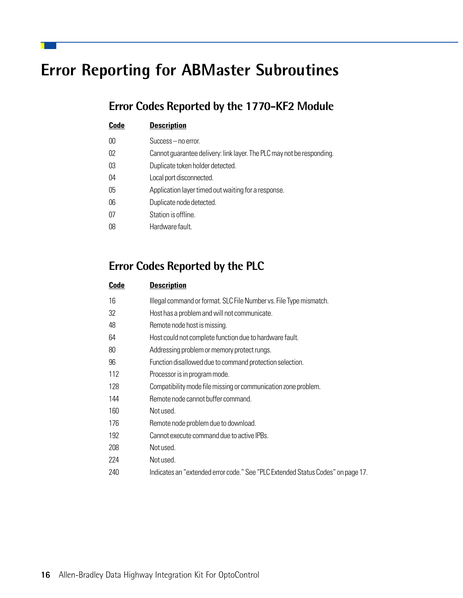## **Error Reporting for ABMaster Subroutines**

## **Error Codes Reported by the 1770-KF2 Module**

| Code | <b>Description</b>                                                    |
|------|-----------------------------------------------------------------------|
| 00   | Success – no error.                                                   |
| 02   | Cannot guarantee delivery: link layer. The PLC may not be responding. |
| 03   | Duplicate token holder detected.                                      |
| 04   | Local port disconnected.                                              |
| 05   | Application layer timed out waiting for a response.                   |
| 06   | Duplicate node detected.                                              |
| 07   | Station is offline.                                                   |
| 08   | Hardware fault.                                                       |
|      |                                                                       |

## **Error Codes Reported by the PLC**

| Code | <b>Description</b>                                                              |
|------|---------------------------------------------------------------------------------|
| 16   | Illegal command or format. SLC File Number vs. File Type mismatch.              |
| 32   | Host has a problem and will not communicate.                                    |
| 48   | Remote node host is missing.                                                    |
| 64   | Host could not complete function due to hardware fault.                         |
| 80   | Addressing problem or memory protect rungs.                                     |
| 96   | Function disallowed due to command protection selection.                        |
| 112  | Processor is in program mode.                                                   |
| 128  | Compatibility mode file missing or communication zone problem.                  |
| 144  | Remote node cannot buffer command.                                              |
| 160  | Not used.                                                                       |
| 176  | Remote node problem due to download.                                            |
| 192  | Cannot execute command due to active IPBs.                                      |
| 208  | Not used.                                                                       |
| 224  | Not used.                                                                       |
| 240  | Indicates an "extended error code." See "PLC Extended Status Codes" on page 17. |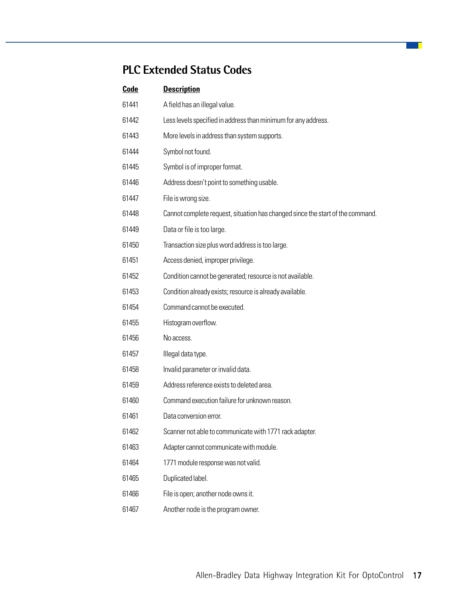## **PLC Extended Status Codes**

| Code  | <b>Description</b>                                                             |
|-------|--------------------------------------------------------------------------------|
| 61441 | A field has an illegal value.                                                  |
| 61442 | Less levels specified in address than minimum for any address.                 |
| 61443 | More levels in address than system supports.                                   |
| 61444 | Symbol not found.                                                              |
| 61445 | Symbol is of improper format.                                                  |
| 61446 | Address doesn't point to something usable.                                     |
| 61447 | File is wrong size.                                                            |
| 61448 | Cannot complete request, situation has changed since the start of the command. |
| 61449 | Data or file is too large.                                                     |
| 61450 | Transaction size plus word address is too large.                               |
| 61451 | Access denied, improper privilege.                                             |
| 61452 | Condition cannot be generated; resource is not available.                      |
| 61453 | Condition already exists; resource is already available.                       |
| 61454 | Command cannot be executed.                                                    |
| 61455 | Histogram overflow.                                                            |
| 61456 | No access.                                                                     |
| 61457 | Illegal data type.                                                             |
| 61458 | Invalid parameter or invalid data.                                             |
| 61459 | Address reference exists to deleted area.                                      |
| 61460 | Command execution failure for unknown reason.                                  |
| 61461 | Data conversion error.                                                         |
| 61462 | Scanner not able to communicate with 1771 rack adapter.                        |
| 61463 | Adapter cannot communicate with module.                                        |
| 61464 | 1771 module response was not valid.                                            |
| 61465 | Duplicated label.                                                              |
| 61466 | File is open; another node owns it.                                            |
|       |                                                                                |

61467 Another node is the program owner.

a T